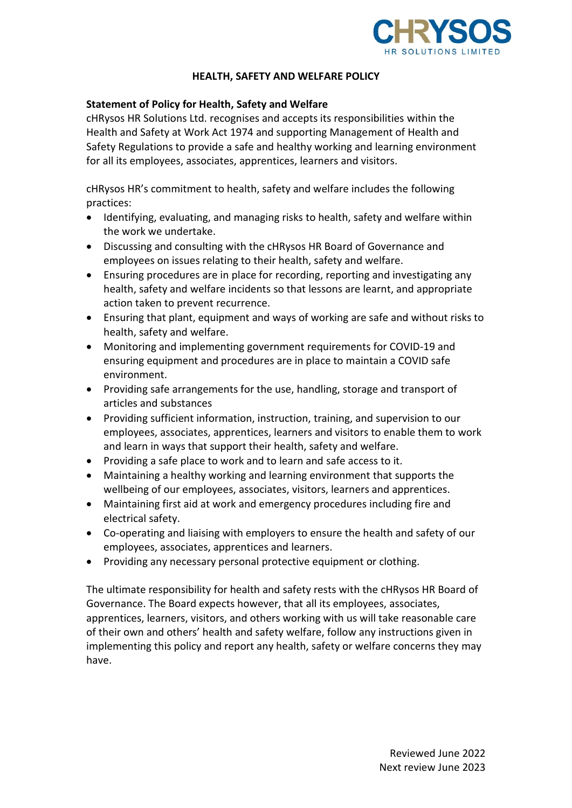

### **HEALTH, SAFETY AND WELFARE POLICY**

### **Statement of Policy for Health, Safety and Welfare**

cHRysos HR Solutions Ltd. recognises and accepts its responsibilities within the Health and Safety at Work Act 1974 and supporting Management of Health and Safety Regulations to provide a safe and healthy working and learning environment for all its employees, associates, apprentices, learners and visitors.

cHRysos HR's commitment to health, safety and welfare includes the following practices:

- Identifying, evaluating, and managing risks to health, safety and welfare within the work we undertake.
- Discussing and consulting with the cHRysos HR Board of Governance and employees on issues relating to their health, safety and welfare.
- Ensuring procedures are in place for recording, reporting and investigating any health, safety and welfare incidents so that lessons are learnt, and appropriate action taken to prevent recurrence.
- Ensuring that plant, equipment and ways of working are safe and without risks to health, safety and welfare.
- Monitoring and implementing government requirements for COVID-19 and ensuring equipment and procedures are in place to maintain a COVID safe environment.
- Providing safe arrangements for the use, handling, storage and transport of articles and substances
- Providing sufficient information, instruction, training, and supervision to our employees, associates, apprentices, learners and visitors to enable them to work and learn in ways that support their health, safety and welfare.
- Providing a safe place to work and to learn and safe access to it.
- Maintaining a healthy working and learning environment that supports the wellbeing of our employees, associates, visitors, learners and apprentices.
- Maintaining first aid at work and emergency procedures including fire and electrical safety.
- Co-operating and liaising with employers to ensure the health and safety of our employees, associates, apprentices and learners.
- Providing any necessary personal protective equipment or clothing.

The ultimate responsibility for health and safety rests with the cHRysos HR Board of Governance. The Board expects however, that all its employees, associates, apprentices, learners, visitors, and others working with us will take reasonable care of their own and others' health and safety welfare, follow any instructions given in implementing this policy and report any health, safety or welfare concerns they may have.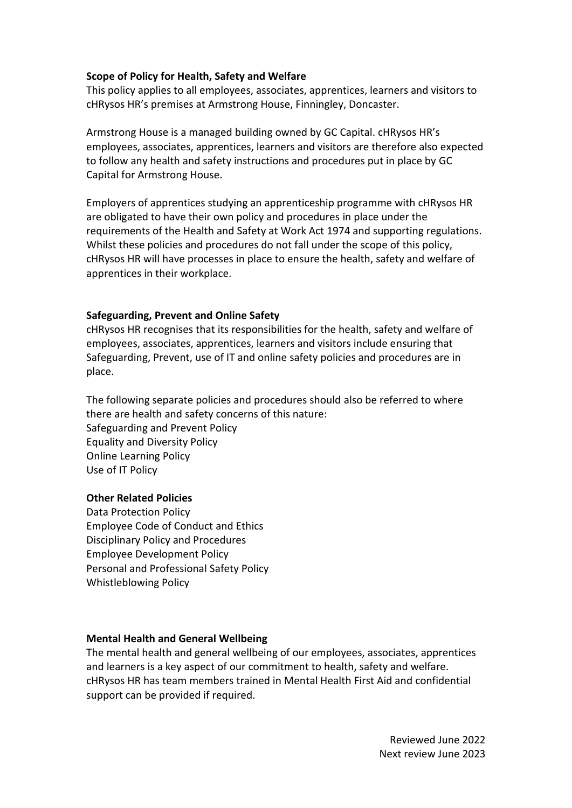### **Scope of Policy for Health, Safety and Welfare**

This policy applies to all employees, associates, apprentices, learners and visitors to cHRysos HR's premises at Armstrong House, Finningley, Doncaster.

Armstrong House is a managed building owned by GC Capital. cHRysos HR's employees, associates, apprentices, learners and visitors are therefore also expected to follow any health and safety instructions and procedures put in place by GC Capital for Armstrong House.

Employers of apprentices studying an apprenticeship programme with cHRysos HR are obligated to have their own policy and procedures in place under the requirements of the Health and Safety at Work Act 1974 and supporting regulations. Whilst these policies and procedures do not fall under the scope of this policy, cHRysos HR will have processes in place to ensure the health, safety and welfare of apprentices in their workplace.

### **Safeguarding, Prevent and Online Safety**

cHRysos HR recognises that its responsibilities for the health, safety and welfare of employees, associates, apprentices, learners and visitors include ensuring that Safeguarding, Prevent, use of IT and online safety policies and procedures are in place.

The following separate policies and procedures should also be referred to where there are health and safety concerns of this nature: Safeguarding and Prevent Policy Equality and Diversity Policy Online Learning Policy Use of IT Policy

#### **Other Related Policies**

Data Protection Policy Employee Code of Conduct and Ethics Disciplinary Policy and Procedures Employee Development Policy Personal and Professional Safety Policy Whistleblowing Policy

#### **Mental Health and General Wellbeing**

The mental health and general wellbeing of our employees, associates, apprentices and learners is a key aspect of our commitment to health, safety and welfare. cHRysos HR has team members trained in Mental Health First Aid and confidential support can be provided if required.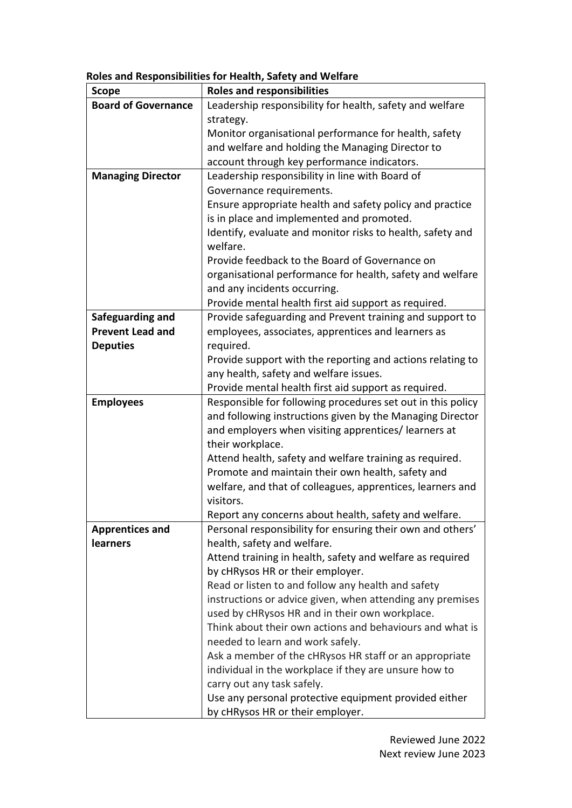| <b>Scope</b>                                | <b>Roles and responsibilities</b>                                       |  |  |
|---------------------------------------------|-------------------------------------------------------------------------|--|--|
| <b>Board of Governance</b>                  | Leadership responsibility for health, safety and welfare                |  |  |
|                                             | strategy.                                                               |  |  |
|                                             | Monitor organisational performance for health, safety                   |  |  |
|                                             | and welfare and holding the Managing Director to                        |  |  |
|                                             | account through key performance indicators.                             |  |  |
| <b>Managing Director</b>                    | Leadership responsibility in line with Board of                         |  |  |
|                                             | Governance requirements.                                                |  |  |
|                                             | Ensure appropriate health and safety policy and practice                |  |  |
|                                             | is in place and implemented and promoted.                               |  |  |
|                                             | Identify, evaluate and monitor risks to health, safety and              |  |  |
|                                             | welfare.                                                                |  |  |
|                                             | Provide feedback to the Board of Governance on                          |  |  |
|                                             | organisational performance for health, safety and welfare               |  |  |
|                                             | and any incidents occurring.                                            |  |  |
|                                             | Provide mental health first aid support as required.                    |  |  |
| Safeguarding and<br><b>Prevent Lead and</b> | Provide safeguarding and Prevent training and support to                |  |  |
|                                             | employees, associates, apprentices and learners as                      |  |  |
| <b>Deputies</b>                             | required.<br>Provide support with the reporting and actions relating to |  |  |
|                                             | any health, safety and welfare issues.                                  |  |  |
|                                             | Provide mental health first aid support as required.                    |  |  |
| <b>Employees</b>                            | Responsible for following procedures set out in this policy             |  |  |
|                                             | and following instructions given by the Managing Director               |  |  |
|                                             | and employers when visiting apprentices/ learners at                    |  |  |
|                                             | their workplace.                                                        |  |  |
|                                             | Attend health, safety and welfare training as required.                 |  |  |
|                                             | Promote and maintain their own health, safety and                       |  |  |
|                                             | welfare, and that of colleagues, apprentices, learners and              |  |  |
|                                             | visitors.                                                               |  |  |
|                                             | Report any concerns about health, safety and welfare.                   |  |  |
| <b>Apprentices and</b>                      | Personal responsibility for ensuring their own and others'              |  |  |
| learners                                    | health, safety and welfare.                                             |  |  |
|                                             | Attend training in health, safety and welfare as required               |  |  |
|                                             | by cHRysos HR or their employer.                                        |  |  |
|                                             | Read or listen to and follow any health and safety                      |  |  |
|                                             | instructions or advice given, when attending any premises               |  |  |
|                                             | used by cHRysos HR and in their own workplace.                          |  |  |
|                                             | Think about their own actions and behaviours and what is                |  |  |
|                                             | needed to learn and work safely.                                        |  |  |
|                                             | Ask a member of the cHRysos HR staff or an appropriate                  |  |  |
|                                             | individual in the workplace if they are unsure how to                   |  |  |
|                                             | carry out any task safely.                                              |  |  |
|                                             | Use any personal protective equipment provided either                   |  |  |
|                                             | by cHRysos HR or their employer.                                        |  |  |

**Roles and Responsibilities for Health, Safety and Welfare**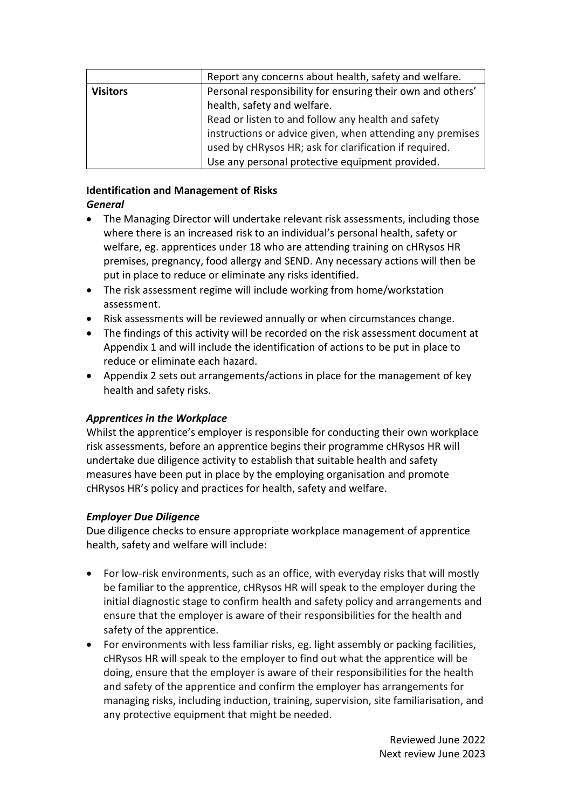|                 | Report any concerns about health, safety and welfare.      |  |
|-----------------|------------------------------------------------------------|--|
| <b>Visitors</b> | Personal responsibility for ensuring their own and others' |  |
|                 | health, safety and welfare.                                |  |
|                 | Read or listen to and follow any health and safety         |  |
|                 | instructions or advice given, when attending any premises  |  |
|                 | used by cHRysos HR; ask for clarification if required.     |  |
|                 | Use any personal protective equipment provided.            |  |

#### **Identification and Management of Risks** *General*

- The Managing Director will undertake relevant risk assessments, including those where there is an increased risk to an individual's personal health, safety or welfare, eg. apprentices under 18 who are attending training on cHRysos HR premises, pregnancy, food allergy and SEND. Any necessary actions will then be put in place to reduce or eliminate any risks identified.
- The risk assessment regime will include working from home/workstation assessment.
- Risk assessments will be reviewed annually or when circumstances change.
- The findings of this activity will be recorded on the risk assessment document at Appendix 1 and will include the identification of actions to be put in place to reduce or eliminate each hazard.
- Appendix 2 sets out arrangements/actions in place for the management of key health and safety risks.

## *Apprentices in the Workplace*

Whilst the apprentice's employer is responsible for conducting their own workplace risk assessments, before an apprentice begins their programme cHRysos HR will undertake due diligence activity to establish that suitable health and safety measures have been put in place by the employing organisation and promote cHRysos HR's policy and practices for health, safety and welfare.

## *Employer Due Diligence*

Due diligence checks to ensure appropriate workplace management of apprentice health, safety and welfare will include:

- For low-risk environments, such as an office, with everyday risks that will mostly be familiar to the apprentice, cHRysos HR will speak to the employer during the initial diagnostic stage to confirm health and safety policy and arrangements and ensure that the employer is aware of their responsibilities for the health and safety of the apprentice.
- For environments with less familiar risks, eg. light assembly or packing facilities, cHRysos HR will speak to the employer to find out what the apprentice will be doing, ensure that the employer is aware of their responsibilities for the health and safety of the apprentice and confirm the employer has arrangements for managing risks, including induction, training, supervision, site familiarisation, and any protective equipment that might be needed.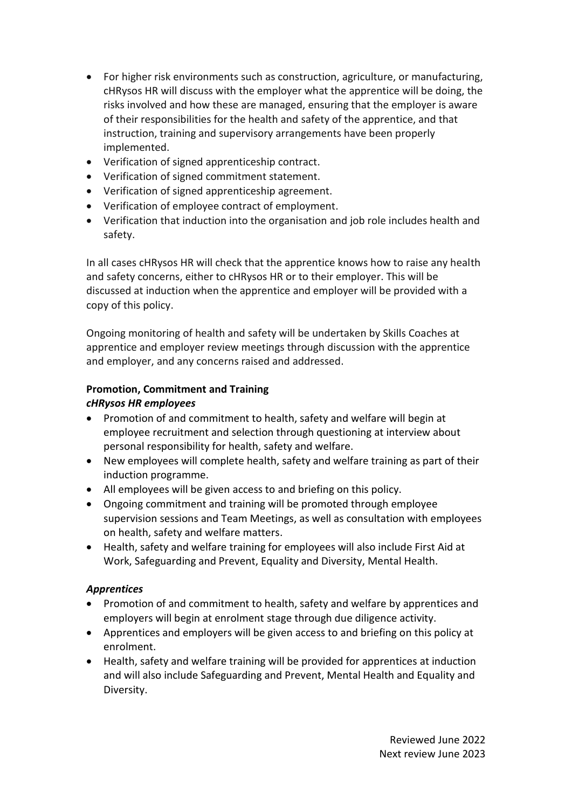- For higher risk environments such as construction, agriculture, or manufacturing, cHRysos HR will discuss with the employer what the apprentice will be doing, the risks involved and how these are managed, ensuring that the employer is aware of their responsibilities for the health and safety of the apprentice, and that instruction, training and supervisory arrangements have been properly implemented.
- Verification of signed apprenticeship contract.
- Verification of signed commitment statement.
- Verification of signed apprenticeship agreement.
- Verification of employee contract of employment.
- Verification that induction into the organisation and job role includes health and safety.

In all cases cHRysos HR will check that the apprentice knows how to raise any health and safety concerns, either to cHRysos HR or to their employer. This will be discussed at induction when the apprentice and employer will be provided with a copy of this policy.

Ongoing monitoring of health and safety will be undertaken by Skills Coaches at apprentice and employer review meetings through discussion with the apprentice and employer, and any concerns raised and addressed.

# **Promotion, Commitment and Training**

## *cHRysos HR employees*

- Promotion of and commitment to health, safety and welfare will begin at employee recruitment and selection through questioning at interview about personal responsibility for health, safety and welfare.
- New employees will complete health, safety and welfare training as part of their induction programme.
- All employees will be given access to and briefing on this policy.
- Ongoing commitment and training will be promoted through employee supervision sessions and Team Meetings, as well as consultation with employees on health, safety and welfare matters.
- Health, safety and welfare training for employees will also include First Aid at Work, Safeguarding and Prevent, Equality and Diversity, Mental Health.

## *Apprentices*

- Promotion of and commitment to health, safety and welfare by apprentices and employers will begin at enrolment stage through due diligence activity.
- Apprentices and employers will be given access to and briefing on this policy at enrolment.
- Health, safety and welfare training will be provided for apprentices at induction and will also include Safeguarding and Prevent, Mental Health and Equality and Diversity.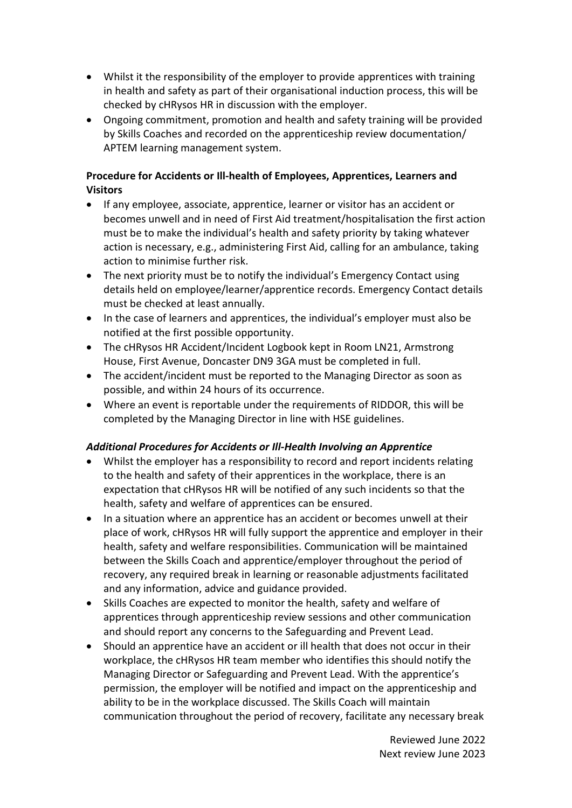- Whilst it the responsibility of the employer to provide apprentices with training in health and safety as part of their organisational induction process, this will be checked by cHRysos HR in discussion with the employer.
- Ongoing commitment, promotion and health and safety training will be provided by Skills Coaches and recorded on the apprenticeship review documentation/ APTEM learning management system.

## **Procedure for Accidents or Ill-health of Employees, Apprentices, Learners and Visitors**

- If any employee, associate, apprentice, learner or visitor has an accident or becomes unwell and in need of First Aid treatment/hospitalisation the first action must be to make the individual's health and safety priority by taking whatever action is necessary, e.g., administering First Aid, calling for an ambulance, taking action to minimise further risk.
- The next priority must be to notify the individual's Emergency Contact using details held on employee/learner/apprentice records. Emergency Contact details must be checked at least annually.
- In the case of learners and apprentices, the individual's employer must also be notified at the first possible opportunity.
- The cHRysos HR Accident/Incident Logbook kept in Room LN21, Armstrong House, First Avenue, Doncaster DN9 3GA must be completed in full.
- The accident/incident must be reported to the Managing Director as soon as possible, and within 24 hours of its occurrence.
- Where an event is reportable under the requirements of RIDDOR, this will be completed by the Managing Director in line with HSE guidelines.

## *Additional Procedures for Accidents or Ill-Health Involving an Apprentice*

- Whilst the employer has a responsibility to record and report incidents relating to the health and safety of their apprentices in the workplace, there is an expectation that cHRysos HR will be notified of any such incidents so that the health, safety and welfare of apprentices can be ensured.
- In a situation where an apprentice has an accident or becomes unwell at their place of work, cHRysos HR will fully support the apprentice and employer in their health, safety and welfare responsibilities. Communication will be maintained between the Skills Coach and apprentice/employer throughout the period of recovery, any required break in learning or reasonable adjustments facilitated and any information, advice and guidance provided.
- Skills Coaches are expected to monitor the health, safety and welfare of apprentices through apprenticeship review sessions and other communication and should report any concerns to the Safeguarding and Prevent Lead.
- Should an apprentice have an accident or ill health that does not occur in their workplace, the cHRysos HR team member who identifies this should notify the Managing Director or Safeguarding and Prevent Lead. With the apprentice's permission, the employer will be notified and impact on the apprenticeship and ability to be in the workplace discussed. The Skills Coach will maintain communication throughout the period of recovery, facilitate any necessary break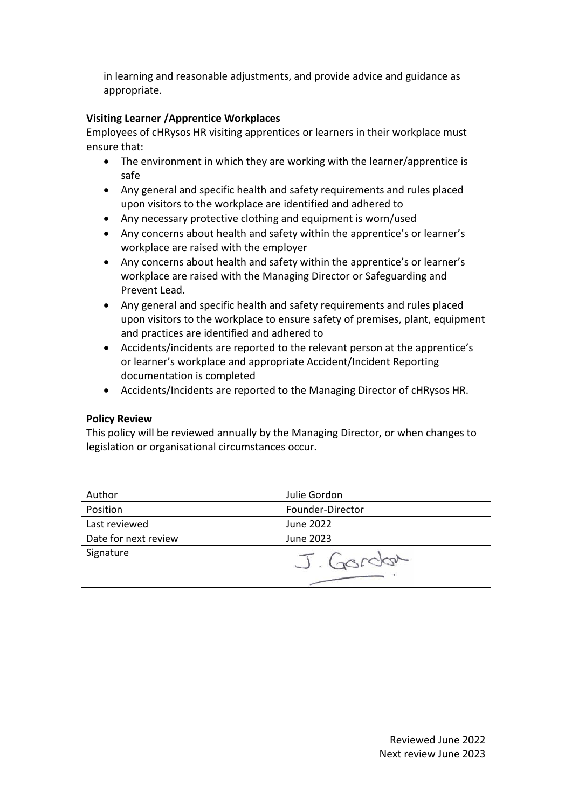in learning and reasonable adjustments, and provide advice and guidance as appropriate.

## **Visiting Learner /Apprentice Workplaces**

Employees of cHRysos HR visiting apprentices or learners in their workplace must ensure that:

- The environment in which they are working with the learner/apprentice is safe
- Any general and specific health and safety requirements and rules placed upon visitors to the workplace are identified and adhered to
- Any necessary protective clothing and equipment is worn/used
- Any concerns about health and safety within the apprentice's or learner's workplace are raised with the employer
- Any concerns about health and safety within the apprentice's or learner's workplace are raised with the Managing Director or Safeguarding and Prevent Lead.
- Any general and specific health and safety requirements and rules placed upon visitors to the workplace to ensure safety of premises, plant, equipment and practices are identified and adhered to
- Accidents/incidents are reported to the relevant person at the apprentice's or learner's workplace and appropriate Accident/Incident Reporting documentation is completed
- Accidents/Incidents are reported to the Managing Director of cHRysos HR.

### **Policy Review**

This policy will be reviewed annually by the Managing Director, or when changes to legislation or organisational circumstances occur.

| Author               | Julie Gordon     |  |
|----------------------|------------------|--|
| Position             | Founder-Director |  |
| Last reviewed        | June 2022        |  |
| Date for next review | June 2023        |  |
| Signature            | J. Gordon        |  |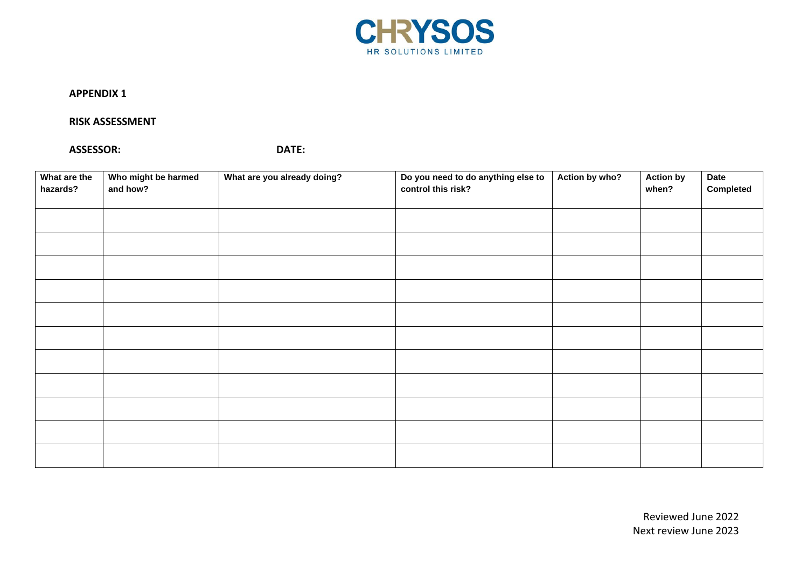

#### **APPENDIX 1**

#### **RISK ASSESSMENT**

#### **ASSESSOR: DATE:**

| What are the<br>hazards? | Who might be harmed<br>and how? | What are you already doing? | Do you need to do anything else to<br>control this risk? | Action by who? | <b>Action by</b><br>when? | <b>Date</b><br>Completed |
|--------------------------|---------------------------------|-----------------------------|----------------------------------------------------------|----------------|---------------------------|--------------------------|
|                          |                                 |                             |                                                          |                |                           |                          |
|                          |                                 |                             |                                                          |                |                           |                          |
|                          |                                 |                             |                                                          |                |                           |                          |
|                          |                                 |                             |                                                          |                |                           |                          |
|                          |                                 |                             |                                                          |                |                           |                          |
|                          |                                 |                             |                                                          |                |                           |                          |
|                          |                                 |                             |                                                          |                |                           |                          |
|                          |                                 |                             |                                                          |                |                           |                          |
|                          |                                 |                             |                                                          |                |                           |                          |
|                          |                                 |                             |                                                          |                |                           |                          |
|                          |                                 |                             |                                                          |                |                           |                          |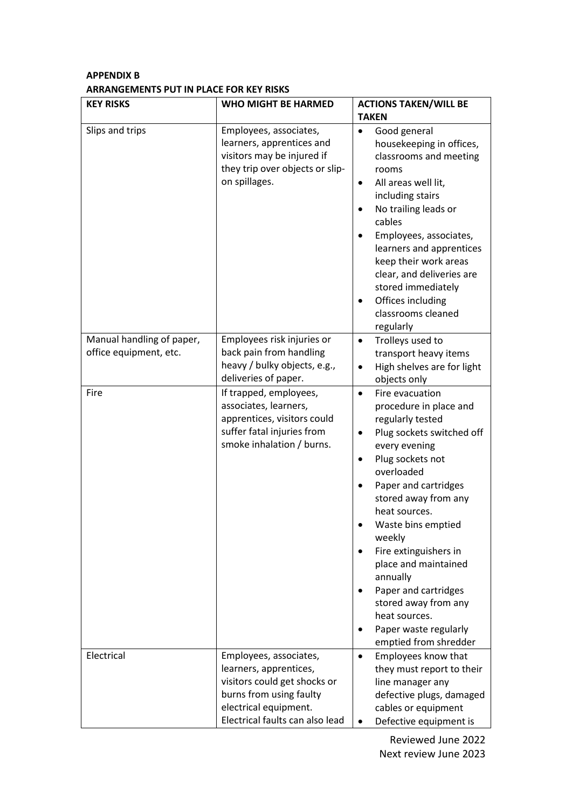## **APPENDIX B ARRANGEMENTS PUT IN PLACE FOR KEY RISKS**

| <b>KEY RISKS</b>                                    | <b>WHO MIGHT BE HARMED</b>                                                                                                                                              | <b>ACTIONS TAKEN/WILL BE</b><br><b>TAKEN</b>                                                                                                                                                                                                                                                                                                                                                                                                                                                    |
|-----------------------------------------------------|-------------------------------------------------------------------------------------------------------------------------------------------------------------------------|-------------------------------------------------------------------------------------------------------------------------------------------------------------------------------------------------------------------------------------------------------------------------------------------------------------------------------------------------------------------------------------------------------------------------------------------------------------------------------------------------|
| Slips and trips                                     | Employees, associates,<br>learners, apprentices and<br>visitors may be injured if<br>they trip over objects or slip-<br>on spillages.                                   | Good general<br>$\bullet$<br>housekeeping in offices,<br>classrooms and meeting<br>rooms<br>All areas well lit,<br>$\bullet$<br>including stairs<br>No trailing leads or<br>$\bullet$<br>cables<br>Employees, associates,<br>learners and apprentices<br>keep their work areas<br>clear, and deliveries are<br>stored immediately<br>Offices including<br>$\bullet$<br>classrooms cleaned<br>regularly                                                                                          |
| Manual handling of paper,<br>office equipment, etc. | Employees risk injuries or<br>back pain from handling<br>heavy / bulky objects, e.g.,<br>deliveries of paper.                                                           | Trolleys used to<br>$\bullet$<br>transport heavy items<br>High shelves are for light<br>objects only                                                                                                                                                                                                                                                                                                                                                                                            |
| Fire                                                | If trapped, employees,<br>associates, learners,<br>apprentices, visitors could<br>suffer fatal injuries from<br>smoke inhalation / burns.                               | Fire evacuation<br>$\bullet$<br>procedure in place and<br>regularly tested<br>Plug sockets switched off<br>$\bullet$<br>every evening<br>Plug sockets not<br>$\bullet$<br>overloaded<br>Paper and cartridges<br>$\bullet$<br>stored away from any<br>heat sources.<br>Waste bins emptied<br>weekly<br>Fire extinguishers in<br>place and maintained<br>annually<br>Paper and cartridges<br>stored away from any<br>heat sources.<br>Paper waste regularly<br>$\bullet$<br>emptied from shredder |
| Electrical                                          | Employees, associates,<br>learners, apprentices,<br>visitors could get shocks or<br>burns from using faulty<br>electrical equipment.<br>Electrical faults can also lead | Employees know that<br>$\bullet$<br>they must report to their<br>line manager any<br>defective plugs, damaged<br>cables or equipment<br>Defective equipment is<br>$\bullet$                                                                                                                                                                                                                                                                                                                     |